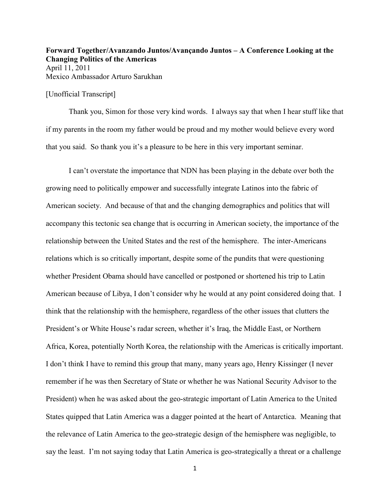**Forward Together/Avanzando Juntos/Avançando Juntos – A Conference Looking at the Changing Politics of the Americas**  April 11, 2011 Mexico Ambassador Arturo Sarukhan

[Unofficial Transcript]

Thank you, Simon for those very kind words. I always say that when I hear stuff like that if my parents in the room my father would be proud and my mother would believe every word that you said. So thank you it's a pleasure to be here in this very important seminar.

I can't overstate the importance that NDN has been playing in the debate over both the growing need to politically empower and successfully integrate Latinos into the fabric of American society. And because of that and the changing demographics and politics that will accompany this tectonic sea change that is occurring in American society, the importance of the relationship between the United States and the rest of the hemisphere. The inter-Americans relations which is so critically important, despite some of the pundits that were questioning whether President Obama should have cancelled or postponed or shortened his trip to Latin American because of Libya, I don't consider why he would at any point considered doing that. I think that the relationship with the hemisphere, regardless of the other issues that clutters the President's or White House's radar screen, whether it's Iraq, the Middle East, or Northern Africa, Korea, potentially North Korea, the relationship with the Americas is critically important. I don't think I have to remind this group that many, many years ago, Henry Kissinger (I never remember if he was then Secretary of State or whether he was National Security Advisor to the President) when he was asked about the geo-strategic important of Latin America to the United States quipped that Latin America was a dagger pointed at the heart of Antarctica. Meaning that the relevance of Latin America to the geo-strategic design of the hemisphere was negligible, to say the least. I'm not saying today that Latin America is geo-strategically a threat or a challenge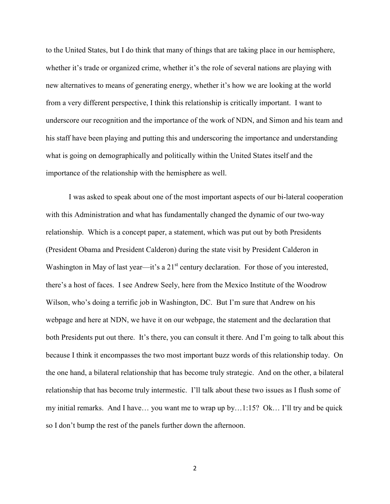to the United States, but I do think that many of things that are taking place in our hemisphere, whether it's trade or organized crime, whether it's the role of several nations are playing with new alternatives to means of generating energy, whether it's how we are looking at the world from a very different perspective, I think this relationship is critically important. I want to underscore our recognition and the importance of the work of NDN, and Simon and his team and his staff have been playing and putting this and underscoring the importance and understanding what is going on demographically and politically within the United States itself and the importance of the relationship with the hemisphere as well.

I was asked to speak about one of the most important aspects of our bi-lateral cooperation with this Administration and what has fundamentally changed the dynamic of our two-way relationship. Which is a concept paper, a statement, which was put out by both Presidents (President Obama and President Calderon) during the state visit by President Calderon in Washington in May of last year—it's a 21<sup>st</sup> century declaration. For those of you interested, there's a host of faces. I see Andrew Seely, here from the Mexico Institute of the Woodrow Wilson, who's doing a terrific job in Washington, DC. But I'm sure that Andrew on his webpage and here at NDN, we have it on our webpage, the statement and the declaration that both Presidents put out there. It's there, you can consult it there. And I'm going to talk about this because I think it encompasses the two most important buzz words of this relationship today. On the one hand, a bilateral relationship that has become truly strategic. And on the other, a bilateral relationship that has become truly intermestic. I'll talk about these two issues as I flush some of my initial remarks. And I have… you want me to wrap up by…1:15? Ok… I'll try and be quick so I don't bump the rest of the panels further down the afternoon.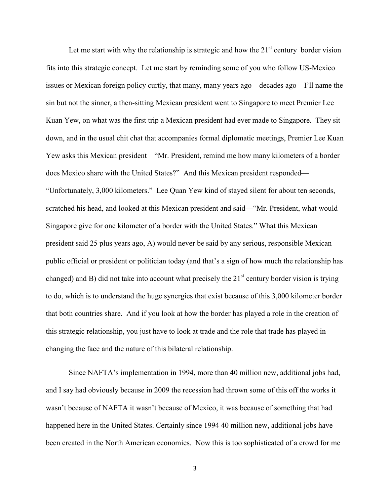Let me start with why the relationship is strategic and how the  $21<sup>st</sup>$  century border vision fits into this strategic concept. Let me start by reminding some of you who follow US-Mexico issues or Mexican foreign policy curtly, that many, many years ago—decades ago—I'll name the sin but not the sinner, a then-sitting Mexican president went to Singapore to meet Premier Lee Kuan Yew, on what was the first trip a Mexican president had ever made to Singapore. They sit down, and in the usual chit chat that accompanies formal diplomatic meetings, Premier Lee Kuan Yew asks this Mexican president—"Mr. President, remind me how many kilometers of a border does Mexico share with the United States?" And this Mexican president responded— "Unfortunately, 3,000 kilometers." Lee Quan Yew kind of stayed silent for about ten seconds, scratched his head, and looked at this Mexican president and said—"Mr. President, what would Singapore give for one kilometer of a border with the United States." What this Mexican president said 25 plus years ago, A) would never be said by any serious, responsible Mexican public official or president or politician today (and that's a sign of how much the relationship has changed) and B) did not take into account what precisely the  $21<sup>st</sup>$  century border vision is trying to do, which is to understand the huge synergies that exist because of this 3,000 kilometer border that both countries share. And if you look at how the border has played a role in the creation of this strategic relationship, you just have to look at trade and the role that trade has played in changing the face and the nature of this bilateral relationship.

Since NAFTA's implementation in 1994, more than 40 million new, additional jobs had, and I say had obviously because in 2009 the recession had thrown some of this off the works it wasn't because of NAFTA it wasn't because of Mexico, it was because of something that had happened here in the United States. Certainly since 1994 40 million new, additional jobs have been created in the North American economies. Now this is too sophisticated of a crowd for me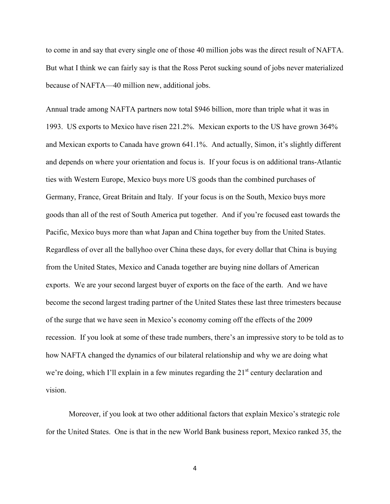to come in and say that every single one of those 40 million jobs was the direct result of NAFTA. But what I think we can fairly say is that the Ross Perot sucking sound of jobs never materialized because of NAFTA—40 million new, additional jobs.

Annual trade among NAFTA partners now total \$946 billion, more than triple what it was in 1993. US exports to Mexico have risen 221.2%. Mexican exports to the US have grown 364% and Mexican exports to Canada have grown 641.1%. And actually, Simon, it's slightly different and depends on where your orientation and focus is. If your focus is on additional trans-Atlantic ties with Western Europe, Mexico buys more US goods than the combined purchases of Germany, France, Great Britain and Italy. If your focus is on the South, Mexico buys more goods than all of the rest of South America put together. And if you're focused east towards the Pacific, Mexico buys more than what Japan and China together buy from the United States. Regardless of over all the ballyhoo over China these days, for every dollar that China is buying from the United States, Mexico and Canada together are buying nine dollars of American exports. We are your second largest buyer of exports on the face of the earth. And we have become the second largest trading partner of the United States these last three trimesters because of the surge that we have seen in Mexico's economy coming off the effects of the 2009 recession. If you look at some of these trade numbers, there's an impressive story to be told as to how NAFTA changed the dynamics of our bilateral relationship and why we are doing what we're doing, which I'll explain in a few minutes regarding the  $21<sup>st</sup>$  century declaration and vision.

Moreover, if you look at two other additional factors that explain Mexico's strategic role for the United States. One is that in the new World Bank business report, Mexico ranked 35, the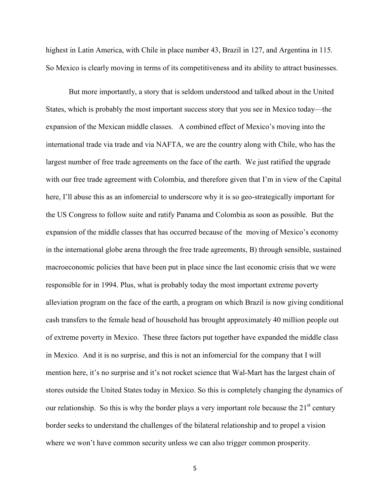highest in Latin America, with Chile in place number 43, Brazil in 127, and Argentina in 115. So Mexico is clearly moving in terms of its competitiveness and its ability to attract businesses.

But more importantly, a story that is seldom understood and talked about in the United States, which is probably the most important success story that you see in Mexico today—the expansion of the Mexican middle classes. A combined effect of Mexico's moving into the international trade via trade and via NAFTA, we are the country along with Chile, who has the largest number of free trade agreements on the face of the earth. We just ratified the upgrade with our free trade agreement with Colombia, and therefore given that I'm in view of the Capital here, I'll abuse this as an infomercial to underscore why it is so geo-strategically important for the US Congress to follow suite and ratify Panama and Colombia as soon as possible. But the expansion of the middle classes that has occurred because of the moving of Mexico's economy in the international globe arena through the free trade agreements, B) through sensible, sustained macroeconomic policies that have been put in place since the last economic crisis that we were responsible for in 1994. Plus, what is probably today the most important extreme poverty alleviation program on the face of the earth, a program on which Brazil is now giving conditional cash transfers to the female head of household has brought approximately 40 million people out of extreme poverty in Mexico. These three factors put together have expanded the middle class in Mexico. And it is no surprise, and this is not an infomercial for the company that I will mention here, it's no surprise and it's not rocket science that Wal-Mart has the largest chain of stores outside the United States today in Mexico. So this is completely changing the dynamics of our relationship. So this is why the border plays a very important role because the  $21<sup>st</sup>$  century border seeks to understand the challenges of the bilateral relationship and to propel a vision where we won't have common security unless we can also trigger common prosperity.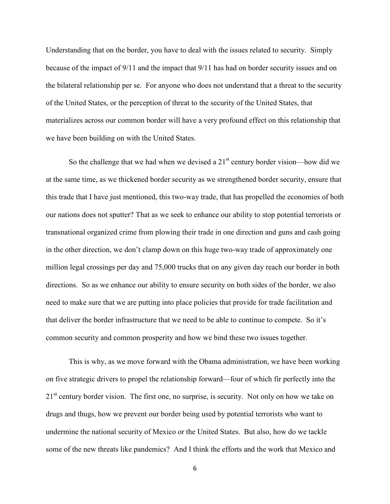Understanding that on the border, you have to deal with the issues related to security. Simply because of the impact of 9/11 and the impact that 9/11 has had on border security issues and on the bilateral relationship per se. For anyone who does not understand that a threat to the security of the United States, or the perception of threat to the security of the United States, that materializes across our common border will have a very profound effect on this relationship that we have been building on with the United States.

So the challenge that we had when we devised a  $21<sup>st</sup>$  century border vision—how did we at the same time, as we thickened border security as we strengthened border security, ensure that this trade that I have just mentioned, this two-way trade, that has propelled the economies of both our nations does not sputter? That as we seek to enhance our ability to stop potential terrorists or transnational organized crime from plowing their trade in one direction and guns and cash going in the other direction, we don't clamp down on this huge two-way trade of approximately one million legal crossings per day and 75,000 trucks that on any given day reach our border in both directions. So as we enhance our ability to ensure security on both sides of the border, we also need to make sure that we are putting into place policies that provide for trade facilitation and that deliver the border infrastructure that we need to be able to continue to compete. So it's common security and common prosperity and how we bind these two issues together.

This is why, as we move forward with the Obama administration, we have been working on five strategic drivers to propel the relationship forward—four of which fir perfectly into the 21<sup>st</sup> century border vision. The first one, no surprise, is security. Not only on how we take on drugs and thugs, how we prevent our border being used by potential terrorists who want to undermine the national security of Mexico or the United States. But also, how do we tackle some of the new threats like pandemics? And I think the efforts and the work that Mexico and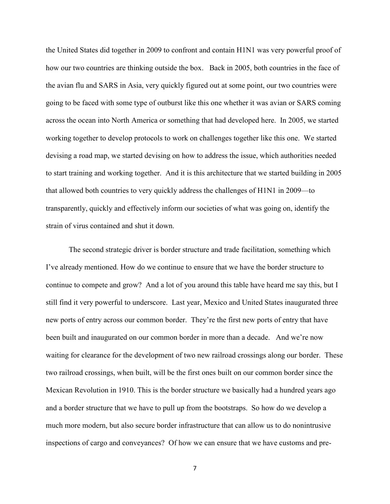the United States did together in 2009 to confront and contain H1N1 was very powerful proof of how our two countries are thinking outside the box. Back in 2005, both countries in the face of the avian flu and SARS in Asia, very quickly figured out at some point, our two countries were going to be faced with some type of outburst like this one whether it was avian or SARS coming across the ocean into North America or something that had developed here. In 2005, we started working together to develop protocols to work on challenges together like this one. We started devising a road map, we started devising on how to address the issue, which authorities needed to start training and working together. And it is this architecture that we started building in 2005 that allowed both countries to very quickly address the challenges of H1N1 in 2009—to transparently, quickly and effectively inform our societies of what was going on, identify the strain of virus contained and shut it down.

The second strategic driver is border structure and trade facilitation, something which I've already mentioned. How do we continue to ensure that we have the border structure to continue to compete and grow? And a lot of you around this table have heard me say this, but I still find it very powerful to underscore. Last year, Mexico and United States inaugurated three new ports of entry across our common border. They're the first new ports of entry that have been built and inaugurated on our common border in more than a decade. And we're now waiting for clearance for the development of two new railroad crossings along our border. These two railroad crossings, when built, will be the first ones built on our common border since the Mexican Revolution in 1910. This is the border structure we basically had a hundred years ago and a border structure that we have to pull up from the bootstraps. So how do we develop a much more modern, but also secure border infrastructure that can allow us to do nonintrusive inspections of cargo and conveyances? Of how we can ensure that we have customs and pre-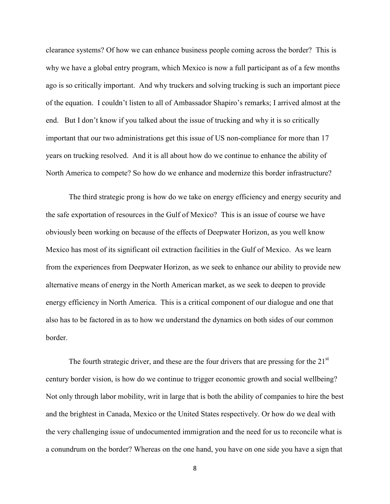clearance systems? Of how we can enhance business people coming across the border? This is why we have a global entry program, which Mexico is now a full participant as of a few months ago is so critically important. And why truckers and solving trucking is such an important piece of the equation. I couldn't listen to all of Ambassador Shapiro's remarks; I arrived almost at the end. But I don't know if you talked about the issue of trucking and why it is so critically important that our two administrations get this issue of US non-compliance for more than 17 years on trucking resolved. And it is all about how do we continue to enhance the ability of North America to compete? So how do we enhance and modernize this border infrastructure?

The third strategic prong is how do we take on energy efficiency and energy security and the safe exportation of resources in the Gulf of Mexico? This is an issue of course we have obviously been working on because of the effects of Deepwater Horizon, as you well know Mexico has most of its significant oil extraction facilities in the Gulf of Mexico. As we learn from the experiences from Deepwater Horizon, as we seek to enhance our ability to provide new alternative means of energy in the North American market, as we seek to deepen to provide energy efficiency in North America. This is a critical component of our dialogue and one that also has to be factored in as to how we understand the dynamics on both sides of our common border.

The fourth strategic driver, and these are the four drivers that are pressing for the  $21<sup>st</sup>$ century border vision, is how do we continue to trigger economic growth and social wellbeing? Not only through labor mobility, writ in large that is both the ability of companies to hire the best and the brightest in Canada, Mexico or the United States respectively. Or how do we deal with the very challenging issue of undocumented immigration and the need for us to reconcile what is a conundrum on the border? Whereas on the one hand, you have on one side you have a sign that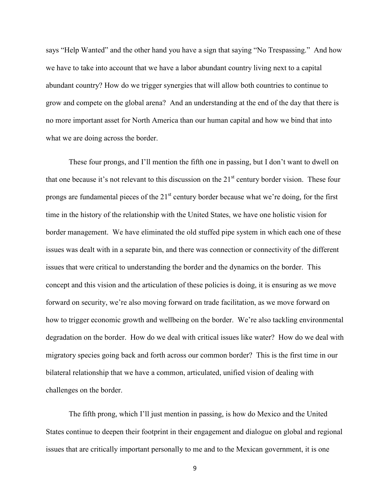says "Help Wanted" and the other hand you have a sign that saying "No Trespassing." And how we have to take into account that we have a labor abundant country living next to a capital abundant country? How do we trigger synergies that will allow both countries to continue to grow and compete on the global arena? And an understanding at the end of the day that there is no more important asset for North America than our human capital and how we bind that into what we are doing across the border.

These four prongs, and I'll mention the fifth one in passing, but I don't want to dwell on that one because it's not relevant to this discussion on the  $21<sup>st</sup>$  century border vision. These four prongs are fundamental pieces of the  $21<sup>st</sup>$  century border because what we're doing, for the first time in the history of the relationship with the United States, we have one holistic vision for border management. We have eliminated the old stuffed pipe system in which each one of these issues was dealt with in a separate bin, and there was connection or connectivity of the different issues that were critical to understanding the border and the dynamics on the border. This concept and this vision and the articulation of these policies is doing, it is ensuring as we move forward on security, we're also moving forward on trade facilitation, as we move forward on how to trigger economic growth and wellbeing on the border. We're also tackling environmental degradation on the border. How do we deal with critical issues like water? How do we deal with migratory species going back and forth across our common border? This is the first time in our bilateral relationship that we have a common, articulated, unified vision of dealing with challenges on the border.

The fifth prong, which I'll just mention in passing, is how do Mexico and the United States continue to deepen their footprint in their engagement and dialogue on global and regional issues that are critically important personally to me and to the Mexican government, it is one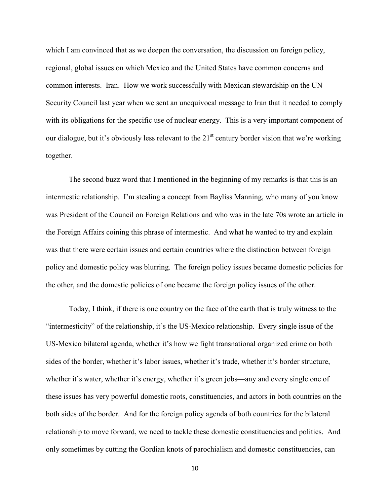which I am convinced that as we deepen the conversation, the discussion on foreign policy, regional, global issues on which Mexico and the United States have common concerns and common interests. Iran. How we work successfully with Mexican stewardship on the UN Security Council last year when we sent an unequivocal message to Iran that it needed to comply with its obligations for the specific use of nuclear energy. This is a very important component of our dialogue, but it's obviously less relevant to the  $21<sup>st</sup>$  century border vision that we're working together.

The second buzz word that I mentioned in the beginning of my remarks is that this is an intermestic relationship. I'm stealing a concept from Bayliss Manning, who many of you know was President of the Council on Foreign Relations and who was in the late 70s wrote an article in the Foreign Affairs coining this phrase of intermestic. And what he wanted to try and explain was that there were certain issues and certain countries where the distinction between foreign policy and domestic policy was blurring. The foreign policy issues became domestic policies for the other, and the domestic policies of one became the foreign policy issues of the other.

Today, I think, if there is one country on the face of the earth that is truly witness to the "intermesticity" of the relationship, it's the US-Mexico relationship. Every single issue of the US-Mexico bilateral agenda, whether it's how we fight transnational organized crime on both sides of the border, whether it's labor issues, whether it's trade, whether it's border structure, whether it's water, whether it's energy, whether it's green jobs—any and every single one of these issues has very powerful domestic roots, constituencies, and actors in both countries on the both sides of the border. And for the foreign policy agenda of both countries for the bilateral relationship to move forward, we need to tackle these domestic constituencies and politics. And only sometimes by cutting the Gordian knots of parochialism and domestic constituencies, can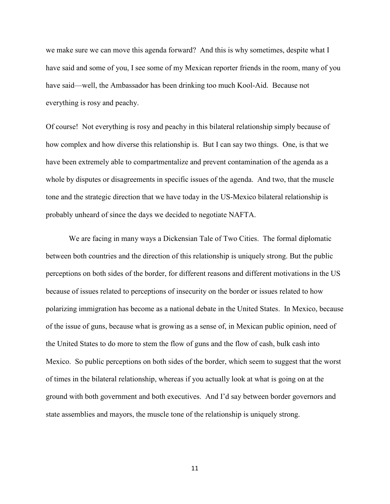we make sure we can move this agenda forward? And this is why sometimes, despite what I have said and some of you, I see some of my Mexican reporter friends in the room, many of you have said—well, the Ambassador has been drinking too much Kool-Aid. Because not everything is rosy and peachy.

Of course! Not everything is rosy and peachy in this bilateral relationship simply because of how complex and how diverse this relationship is. But I can say two things. One, is that we have been extremely able to compartmentalize and prevent contamination of the agenda as a whole by disputes or disagreements in specific issues of the agenda. And two, that the muscle tone and the strategic direction that we have today in the US-Mexico bilateral relationship is probably unheard of since the days we decided to negotiate NAFTA.

We are facing in many ways a Dickensian Tale of Two Cities. The formal diplomatic between both countries and the direction of this relationship is uniquely strong. But the public perceptions on both sides of the border, for different reasons and different motivations in the US because of issues related to perceptions of insecurity on the border or issues related to how polarizing immigration has become as a national debate in the United States. In Mexico, because of the issue of guns, because what is growing as a sense of, in Mexican public opinion, need of the United States to do more to stem the flow of guns and the flow of cash, bulk cash into Mexico. So public perceptions on both sides of the border, which seem to suggest that the worst of times in the bilateral relationship, whereas if you actually look at what is going on at the ground with both government and both executives. And I'd say between border governors and state assemblies and mayors, the muscle tone of the relationship is uniquely strong.